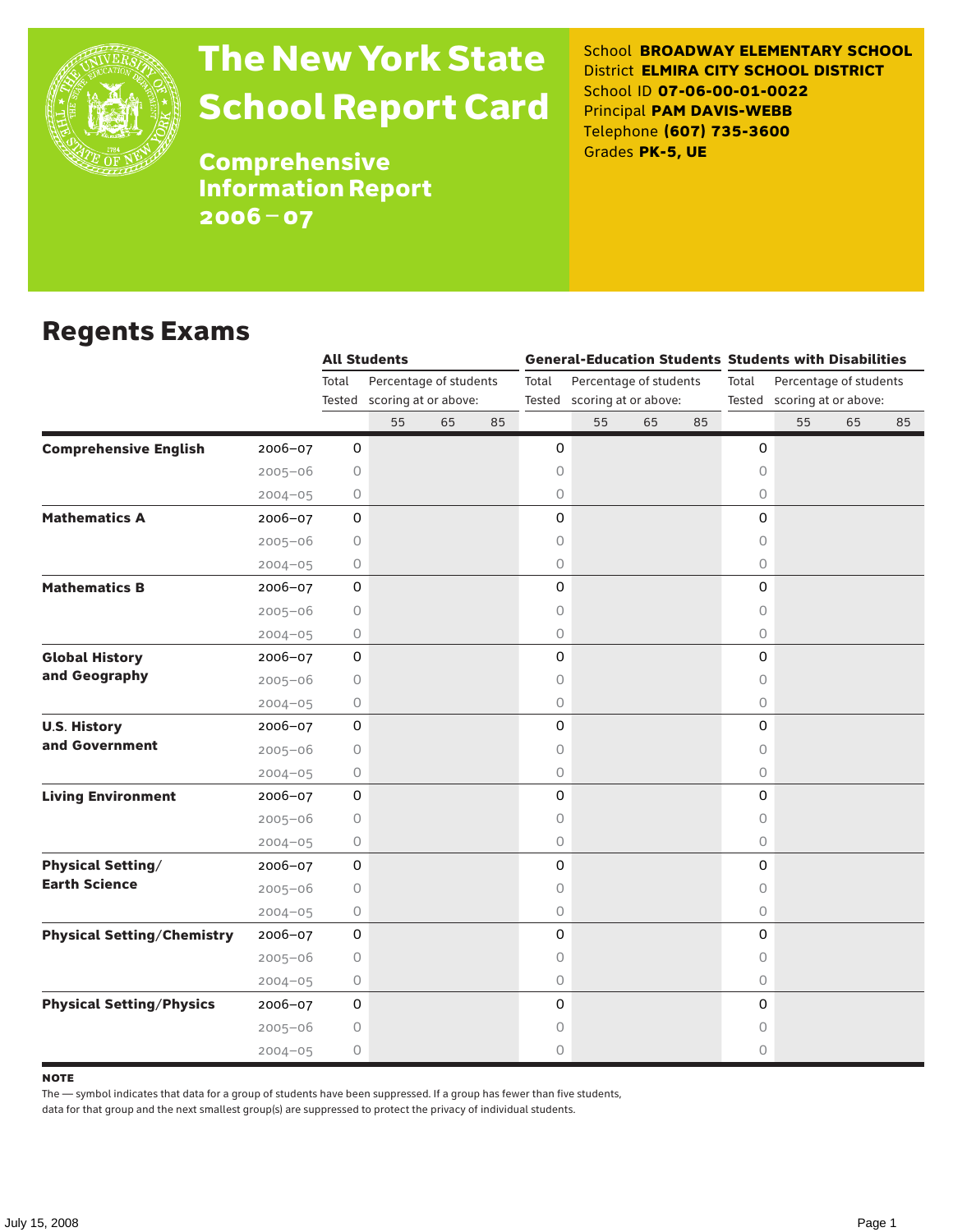

# The New York State School Report Card

School **BROADWAY ELEMENTARY SCHOOL** District **ELMIRA CITY SCHOOL DISTRICT** School ID **07-06-00-01-0022** Principal **PAM DAVIS-WEBB** Telephone **(607) 735-3600** Grades **PK-5, UE**

**Comprehensive** Information Report 2006–07

#### Regents Exams

|                                   |             | <b>All Students</b> |                             |    |    |       |                             |    |    | <b>General-Education Students Students with Disabilities</b> |                             |    |    |  |  |
|-----------------------------------|-------------|---------------------|-----------------------------|----|----|-------|-----------------------------|----|----|--------------------------------------------------------------|-----------------------------|----|----|--|--|
|                                   |             | Total               | Percentage of students      |    |    | Total | Percentage of students      |    |    |                                                              | Percentage of students      |    |    |  |  |
|                                   |             |                     | Tested scoring at or above: |    |    |       | Tested scoring at or above: |    |    |                                                              | Tested scoring at or above: |    |    |  |  |
|                                   |             |                     | 55                          | 65 | 85 |       | 55                          | 65 | 85 |                                                              | 55                          | 65 | 85 |  |  |
| <b>Comprehensive English</b>      | 2006-07     | 0                   |                             |    |    | 0     |                             |    |    | 0                                                            |                             |    |    |  |  |
|                                   | $2005 - 06$ | 0                   |                             |    |    | 0     |                             |    |    | $\circ$                                                      |                             |    |    |  |  |
|                                   | $2004 - 05$ | 0                   |                             |    |    | 0     |                             |    |    | $\circ$                                                      |                             |    |    |  |  |
| <b>Mathematics A</b>              | 2006-07     | 0                   |                             |    |    | 0     |                             |    |    | $\mathbf 0$                                                  |                             |    |    |  |  |
|                                   | $2005 - 06$ | 0                   |                             |    |    | 0     |                             |    |    | 0                                                            |                             |    |    |  |  |
|                                   | $2004 - 05$ | 0                   |                             |    |    | 0     |                             |    |    | $\circ$                                                      |                             |    |    |  |  |
| <b>Mathematics B</b>              | $2006 - 07$ | 0                   |                             |    |    | 0     |                             |    |    | $\Omega$                                                     |                             |    |    |  |  |
|                                   | $2005 - 06$ | 0                   |                             |    |    | 0     |                             |    |    | 0                                                            |                             |    |    |  |  |
|                                   | $2004 - 05$ | 0                   |                             |    |    | 0     |                             |    |    | $\circ$                                                      |                             |    |    |  |  |
| <b>Global History</b>             | $2006 - 07$ | $\mathsf{O}\xspace$ |                             |    |    | 0     |                             |    |    | $\mathsf O$                                                  |                             |    |    |  |  |
| and Geography                     | $2005 - 06$ | $\circ$             |                             |    |    | 0     |                             |    |    | $\circ$                                                      |                             |    |    |  |  |
|                                   | $2004 - 05$ | 0                   |                             |    |    | 0     |                             |    |    | $\circ$                                                      |                             |    |    |  |  |
| <b>U.S. History</b>               | 2006-07     | 0                   |                             |    |    | 0     |                             |    |    | 0                                                            |                             |    |    |  |  |
| and Government                    | $2005 - 06$ | 0                   |                             |    |    | 0     |                             |    |    | 0                                                            |                             |    |    |  |  |
|                                   | $2004 - 05$ | 0                   |                             |    |    | 0     |                             |    |    | 0                                                            |                             |    |    |  |  |
| <b>Living Environment</b>         | 2006-07     | 0                   |                             |    |    | 0     |                             |    |    | 0                                                            |                             |    |    |  |  |
|                                   | $2005 - 06$ | 0                   |                             |    |    | 0     |                             |    |    | $\circ$                                                      |                             |    |    |  |  |
|                                   | $2004 - 05$ | 0                   |                             |    |    | 0     |                             |    |    | $\circ$                                                      |                             |    |    |  |  |
| <b>Physical Setting/</b>          | 2006-07     | $\mathsf{O}$        |                             |    |    | 0     |                             |    |    | $\mathsf O$                                                  |                             |    |    |  |  |
| <b>Earth Science</b>              | $2005 - 06$ | 0                   |                             |    |    | 0     |                             |    |    | $\circ$                                                      |                             |    |    |  |  |
|                                   | $2004 - 05$ | 0                   |                             |    |    | 0     |                             |    |    | $\circ$                                                      |                             |    |    |  |  |
| <b>Physical Setting/Chemistry</b> | 2006-07     | 0                   |                             |    |    | 0     |                             |    |    | $\mathbf 0$                                                  |                             |    |    |  |  |
|                                   | $2005 - 06$ | 0                   |                             |    |    | 0     |                             |    |    | 0                                                            |                             |    |    |  |  |
|                                   | $2004 - 05$ | 0                   |                             |    |    | 0     |                             |    |    | $\circ$                                                      |                             |    |    |  |  |
| <b>Physical Setting/Physics</b>   | $2006 - 07$ | 0                   |                             |    |    | 0     |                             |    |    | 0                                                            |                             |    |    |  |  |
|                                   | $2005 - 06$ | 0                   |                             |    |    | 0     |                             |    |    | 0                                                            |                             |    |    |  |  |
|                                   | $2004 - 05$ | $\circ$             |                             |    |    | 0     |                             |    |    | 0                                                            |                             |    |    |  |  |

#### **NOTE**

The — symbol indicates that data for a group of students have been suppressed. If a group has fewer than five students,

data for that group and the next smallest group(s) are suppressed to protect the privacy of individual students.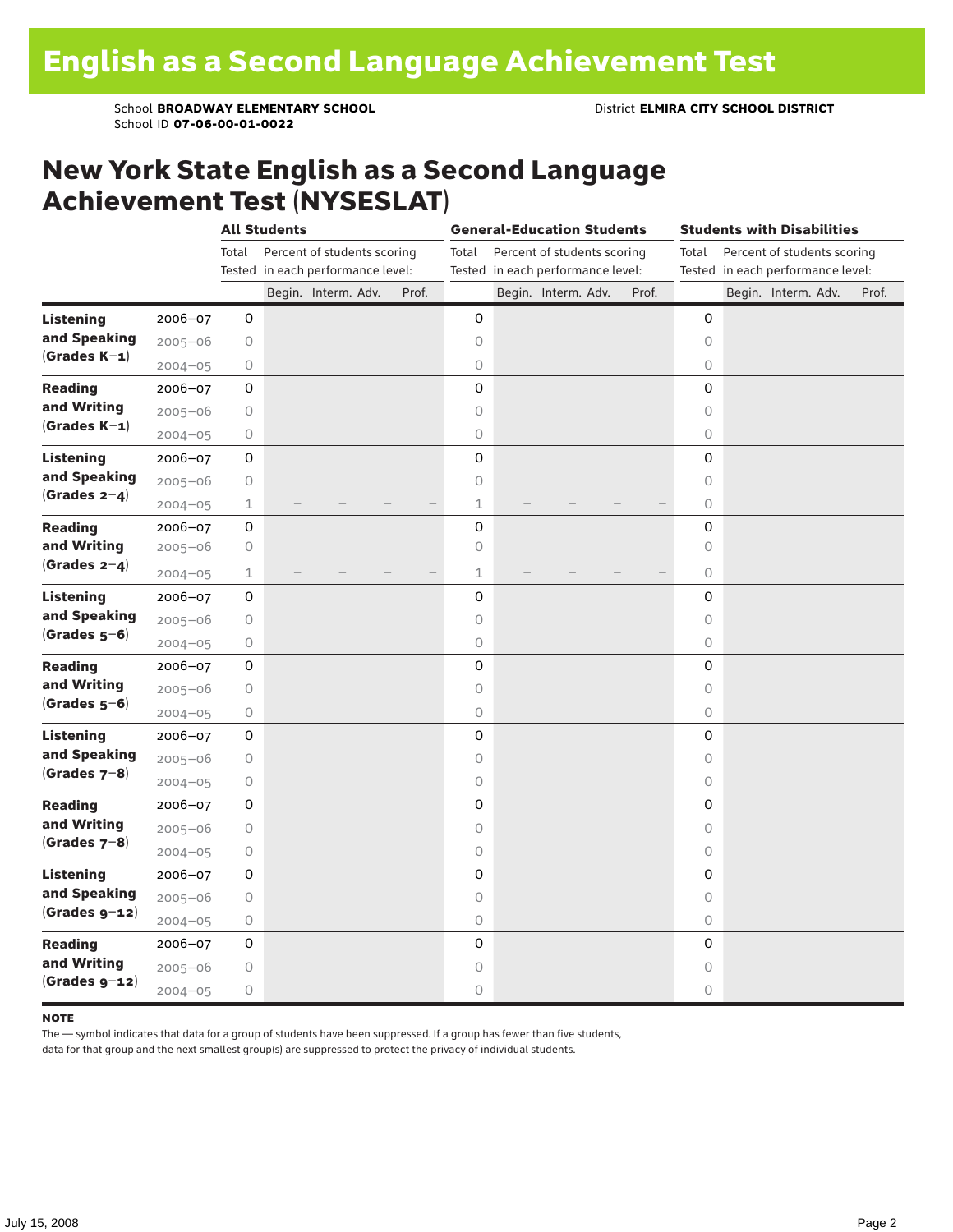School **BROADWAY ELEMENTARY SCHOOL** District **ELMIRA CITY SCHOOL DISTRICT** School ID **07-06-00-01-0022**

#### New York State English as a Second Language Achievement Test (NYSESLAT)

|                  |             | <b>All Students</b> |  |                                                                  |  |       | <b>General-Education Students</b> |                                                                  |                     |  |       |                                                                           | <b>Students with Disabilities</b> |  |  |                     |  |       |
|------------------|-------------|---------------------|--|------------------------------------------------------------------|--|-------|-----------------------------------|------------------------------------------------------------------|---------------------|--|-------|---------------------------------------------------------------------------|-----------------------------------|--|--|---------------------|--|-------|
|                  |             | Total               |  | Percent of students scoring<br>Tested in each performance level: |  |       | Total                             | Percent of students scoring<br>Tested in each performance level: |                     |  |       | Percent of students scoring<br>Total<br>Tested in each performance level: |                                   |  |  |                     |  |       |
|                  |             |                     |  | Begin. Interm. Adv.                                              |  | Prof. |                                   |                                                                  | Begin. Interm. Adv. |  | Prof. |                                                                           |                                   |  |  | Begin. Interm. Adv. |  | Prof. |
| <b>Listening</b> | 2006-07     | 0                   |  |                                                                  |  |       | 0                                 |                                                                  |                     |  |       |                                                                           | 0                                 |  |  |                     |  |       |
| and Speaking     | $2005 - 06$ | 0                   |  |                                                                  |  |       | 0                                 |                                                                  |                     |  |       |                                                                           | $\circ$                           |  |  |                     |  |       |
| $(Grades K-1)$   | $2004 - 05$ | 0                   |  |                                                                  |  |       | $\circ$                           |                                                                  |                     |  |       |                                                                           | 0                                 |  |  |                     |  |       |
| <b>Reading</b>   | $2006 - 07$ | 0                   |  |                                                                  |  |       | 0                                 |                                                                  |                     |  |       |                                                                           | 0                                 |  |  |                     |  |       |
| and Writing      | $2005 - 06$ | 0                   |  |                                                                  |  |       | $\circ$                           |                                                                  |                     |  |       |                                                                           | $\circ$                           |  |  |                     |  |       |
| $(Grades K-1)$   | $2004 - 05$ | 0                   |  |                                                                  |  |       | $\circ$                           |                                                                  |                     |  |       |                                                                           | 0                                 |  |  |                     |  |       |
| <b>Listening</b> | 2006-07     | 0                   |  |                                                                  |  |       | 0                                 |                                                                  |                     |  |       |                                                                           | 0                                 |  |  |                     |  |       |
| and Speaking     | $2005 - 06$ | 0                   |  |                                                                  |  |       | $\circ$                           |                                                                  |                     |  |       |                                                                           | $\circ$                           |  |  |                     |  |       |
| (Grades $2-4$ )  | $2004 - 05$ | $\mathbf 1$         |  |                                                                  |  |       | $\mathbf 1$                       |                                                                  |                     |  |       |                                                                           | $\circ$                           |  |  |                     |  |       |
| <b>Reading</b>   | $2006 - 07$ | 0                   |  |                                                                  |  |       | 0                                 |                                                                  |                     |  |       |                                                                           | 0                                 |  |  |                     |  |       |
| and Writing      | $2005 - 06$ | 0                   |  |                                                                  |  |       | $\circ$                           |                                                                  |                     |  |       |                                                                           | $\circ$                           |  |  |                     |  |       |
| (Grades $2-4$ )  | $2004 - 05$ | 1                   |  |                                                                  |  |       | $\mathbf 1$                       |                                                                  |                     |  |       |                                                                           | 0                                 |  |  |                     |  |       |
| <b>Listening</b> | 2006-07     | 0                   |  |                                                                  |  |       | 0                                 |                                                                  |                     |  |       |                                                                           | 0                                 |  |  |                     |  |       |
| and Speaking     | $2005 - 06$ | 0                   |  |                                                                  |  |       | $\circ$                           |                                                                  |                     |  |       |                                                                           | $\circ$                           |  |  |                     |  |       |
| $(Grades 5-6)$   | $2004 - 05$ | 0                   |  |                                                                  |  |       | $\bigcirc$                        |                                                                  |                     |  |       |                                                                           | 0                                 |  |  |                     |  |       |
| <b>Reading</b>   | 2006-07     | 0                   |  |                                                                  |  |       | 0                                 |                                                                  |                     |  |       |                                                                           | 0                                 |  |  |                     |  |       |
| and Writing      | $2005 - 06$ | 0                   |  |                                                                  |  |       | $\circ$                           |                                                                  |                     |  |       |                                                                           | $\circ$                           |  |  |                     |  |       |
| $(Grades 5-6)$   | $2004 - 05$ | 0                   |  |                                                                  |  |       | $\bigcirc$                        |                                                                  |                     |  |       |                                                                           | 0                                 |  |  |                     |  |       |
| <b>Listening</b> | 2006-07     | 0                   |  |                                                                  |  |       | 0                                 |                                                                  |                     |  |       |                                                                           | 0                                 |  |  |                     |  |       |
| and Speaking     | $2005 - 06$ | $\circ$             |  |                                                                  |  |       | 0                                 |                                                                  |                     |  |       |                                                                           | $\circ$                           |  |  |                     |  |       |
| (Grades $7-8$ )  | $2004 - 05$ | 0                   |  |                                                                  |  |       | 0                                 |                                                                  |                     |  |       |                                                                           | 0                                 |  |  |                     |  |       |
| <b>Reading</b>   | 2006-07     | 0                   |  |                                                                  |  |       | 0                                 |                                                                  |                     |  |       |                                                                           | 0                                 |  |  |                     |  |       |
| and Writing      | $2005 - 06$ | 0                   |  |                                                                  |  |       | $\circ$                           |                                                                  |                     |  |       |                                                                           | $\circ$                           |  |  |                     |  |       |
| $(Grades 7-8)$   | $2004 - 05$ | 0                   |  |                                                                  |  |       | $\bigcirc$                        |                                                                  |                     |  |       |                                                                           | 0                                 |  |  |                     |  |       |
| <b>Listening</b> | $2006 - 07$ | 0                   |  |                                                                  |  |       | 0                                 |                                                                  |                     |  |       |                                                                           | 0                                 |  |  |                     |  |       |
| and Speaking     | $2005 - 06$ | 0                   |  |                                                                  |  |       | $\circ$                           |                                                                  |                     |  |       |                                                                           | $\circ$                           |  |  |                     |  |       |
| $(Grades g-12)$  | $2004 - 05$ | 0                   |  |                                                                  |  |       | $\bigcirc$                        |                                                                  |                     |  |       |                                                                           | $\circ$                           |  |  |                     |  |       |
| <b>Reading</b>   | 2006-07     | 0                   |  |                                                                  |  |       | 0                                 |                                                                  |                     |  |       |                                                                           | 0                                 |  |  |                     |  |       |
| and Writing      | $2005 - 06$ | 0                   |  |                                                                  |  |       | 0                                 |                                                                  |                     |  |       |                                                                           | 0                                 |  |  |                     |  |       |
| $(Grades g-z)$   | $2004 - 05$ | 0                   |  |                                                                  |  |       | 0                                 |                                                                  |                     |  |       |                                                                           | 0                                 |  |  |                     |  |       |

#### **NOTE**

The — symbol indicates that data for a group of students have been suppressed. If a group has fewer than five students,

data for that group and the next smallest group(s) are suppressed to protect the privacy of individual students.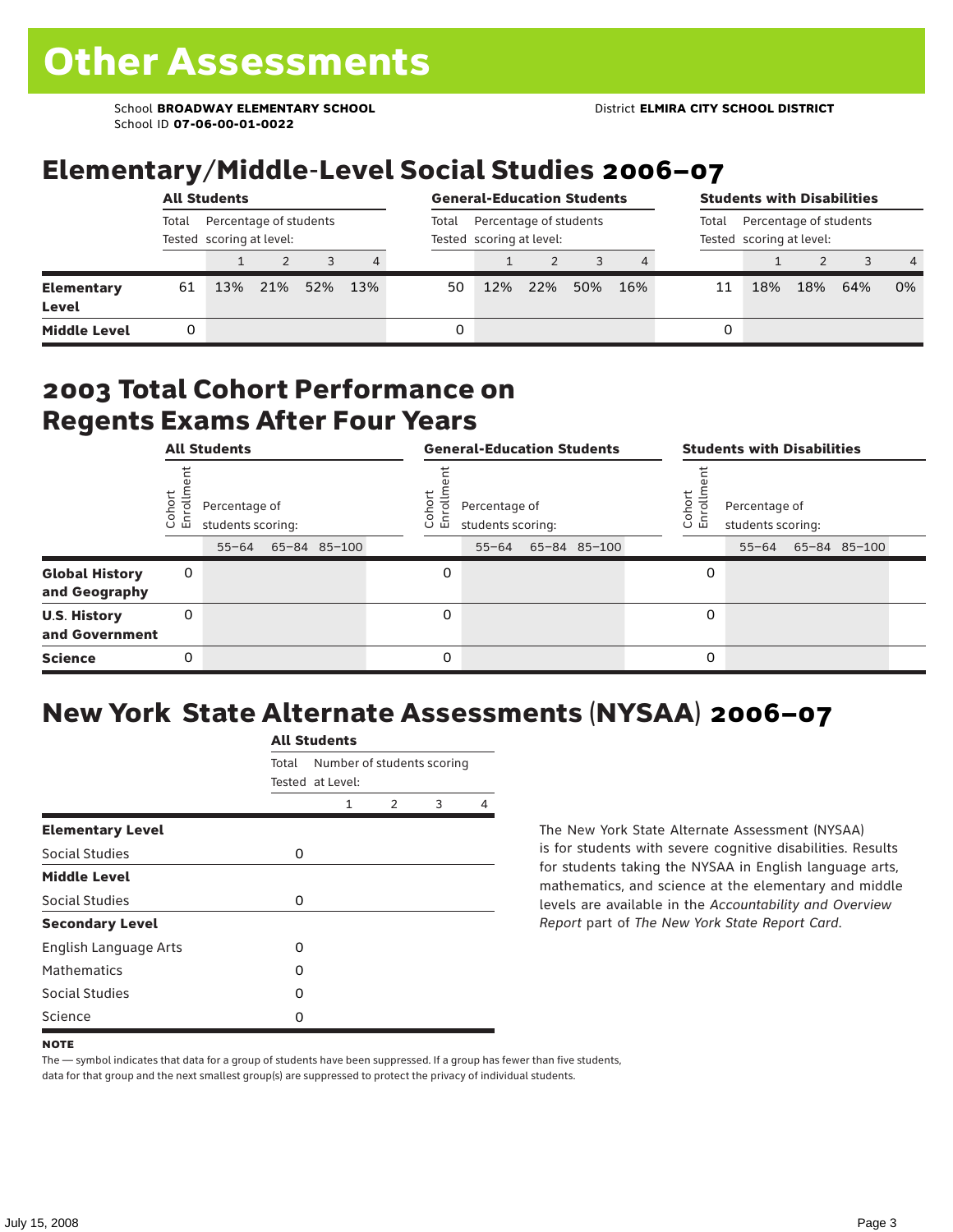School **BROADWAY ELEMENTARY SCHOOL** District **ELMIRA CITY SCHOOL DISTRICT** School ID **07-06-00-01-0022**

### Elementary/Middle-Level Social Studies 2006–07

|                                   | <b>All Students</b>                                         |     |  |         |                |       | <b>General-Education Students</b>                  |     |     |     | <b>Students with Disabilities</b>                           |     |     |     |                |  |
|-----------------------------------|-------------------------------------------------------------|-----|--|---------|----------------|-------|----------------------------------------------------|-----|-----|-----|-------------------------------------------------------------|-----|-----|-----|----------------|--|
|                                   | Percentage of students<br>Total<br>Tested scoring at level: |     |  |         |                | Total | Percentage of students<br>Tested scoring at level: |     |     |     | Percentage of students<br>Total<br>Tested scoring at level: |     |     |     |                |  |
|                                   |                                                             |     |  |         | $\overline{4}$ |       |                                                    |     |     |     |                                                             |     |     |     | $\overline{4}$ |  |
| <b>Elementary</b><br><b>Level</b> | 61                                                          | 13% |  | 21% 52% | 13%            | 50    | 12%                                                | 22% | 50% | 16% | 11                                                          | 18% | 18% | 64% | 0%             |  |
| <b>Middle Level</b>               | 0                                                           |     |  |         |                | 0     |                                                    |     |     |     | 0                                                           |     |     |     |                |  |

#### 2003 Total Cohort Performance on Regents Exams After Four Years

|                                        | <b>All Students</b>                                                   |           |  |  |                                                                            |          | <b>General-Education Students</b> |  |                                                                               | <b>Students with Disabilities</b> |  |  |  |  |  |
|----------------------------------------|-----------------------------------------------------------------------|-----------|--|--|----------------------------------------------------------------------------|----------|-----------------------------------|--|-------------------------------------------------------------------------------|-----------------------------------|--|--|--|--|--|
|                                        | Cohor<br>Enroll<br>Percentage of<br>students scoring:<br>65-84 85-100 |           |  |  | Coho<br>Percentage of<br>$\circ$<br>ᇛ<br>students scoring:<br>65-84 85-100 |          |                                   |  | Cohort<br>Percentage of<br>o,<br>문<br>students scoring:<br>55-64 65-84 85-100 |                                   |  |  |  |  |  |
|                                        |                                                                       | $55 - 64$ |  |  |                                                                            |          | $55 - 64$                         |  |                                                                               |                                   |  |  |  |  |  |
| <b>Global History</b><br>and Geography | 0                                                                     |           |  |  |                                                                            | 0        |                                   |  |                                                                               | 0                                 |  |  |  |  |  |
| <b>U.S. History</b><br>and Government  | 0                                                                     |           |  |  |                                                                            | $\Omega$ |                                   |  |                                                                               | 0                                 |  |  |  |  |  |
| <b>Science</b>                         | 0                                                                     |           |  |  |                                                                            | 0        |                                   |  |                                                                               | 0                                 |  |  |  |  |  |

## New York State Alternate Assessments (NYSAA) 2006–07

|                         | <b>All Students</b> |                  |                            |   |   |  |  |  |  |  |
|-------------------------|---------------------|------------------|----------------------------|---|---|--|--|--|--|--|
|                         | Total               |                  | Number of students scoring |   |   |  |  |  |  |  |
|                         |                     | Tested at Level: |                            |   |   |  |  |  |  |  |
|                         |                     | 1                | $\mathcal{P}$              | 3 | 4 |  |  |  |  |  |
| <b>Elementary Level</b> |                     |                  |                            |   |   |  |  |  |  |  |
| Social Studies          | 0                   |                  |                            |   |   |  |  |  |  |  |
| <b>Middle Level</b>     |                     |                  |                            |   |   |  |  |  |  |  |
| Social Studies          | 0                   |                  |                            |   |   |  |  |  |  |  |
| <b>Secondary Level</b>  |                     |                  |                            |   |   |  |  |  |  |  |
| English Language Arts   | O                   |                  |                            |   |   |  |  |  |  |  |
| <b>Mathematics</b>      | Ω                   |                  |                            |   |   |  |  |  |  |  |
| Social Studies          | Ω                   |                  |                            |   |   |  |  |  |  |  |
| Science                 | O                   |                  |                            |   |   |  |  |  |  |  |

The New York State Alternate Assessment (NYSAA) is for students with severe cognitive disabilities. Results for students taking the NYSAA in English language arts, mathematics, and science at the elementary and middle levels are available in the *Accountability and Overview Report* part of *The New York State Report Card*.

The — symbol indicates that data for a group of students have been suppressed. If a group has fewer than five students, data for that group and the next smallest group(s) are suppressed to protect the privacy of individual students.

**NOTE**